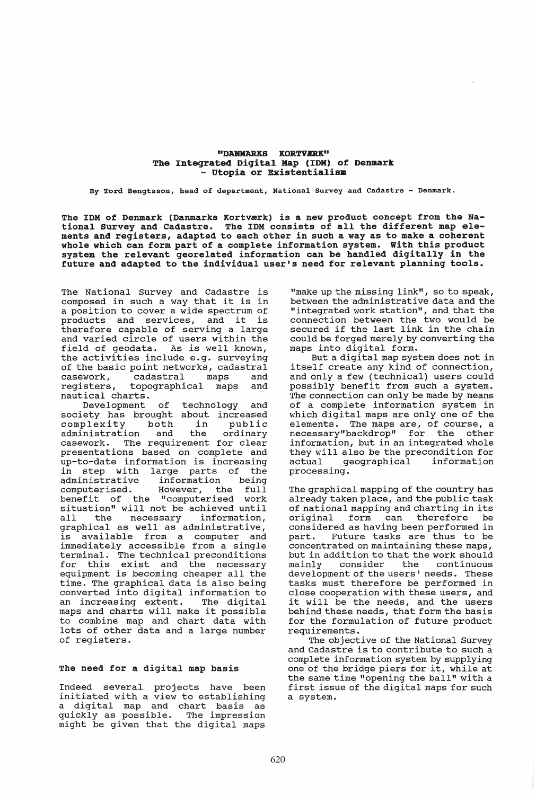# "DANMARKS KORTVÆRK" The Integrated Digita1 Map (IDK) of Denmark - utopia or Existentia1ism

By Tord Bengtsson, head of department, National Survey and Cadastre - Denmark.

The IDM of Denmark (Danmarks Kortværk) is a new product concept from the National Survey and Cadastre. The IDM consists of all the different map elements and registers, adapted to each other in such a way as to make a coherent whole which can form part of a complete information system. with this product system the relevant georelated information can be handled digitally in the future and adapted to the individual user's need for relevant planning tools.

The National Survey and Cadastre is composed in such a way that it is in a position to cover a wide spectrum of<br>products and services, and it is products and services, therefore capable of serving a large and varied circle of users within the field of geodata. As is well known, the activities include e.g. surveying of the basic point networks, cadastral<br>casework, cadastral maps and casework, cadastral maps and<br>reqisters, topographical maps and topographical maps nautical charts.

Development of technology and society has brought about increased society has proaght about increased<br>complexity both in public complexity both in public<br>administration and the ordinary casework. The requirement for clear presentations based on complete and up-to-date information is increasing<br>in step with large parts of the in step with large parts of the<br>administrative information being information being<br>However, the full computerised. However, benefit of the "computerised work situation" will not be achieved until all the necessary information, all the necessary information,<br>qraphical as well as administrative, is available from a computer and immediately accessible from a single terminal. The technical preconditions<br>for this exist and the necessary exist and the necessary equipment is becoming cheaper all the time. The graphical data is also being converted into digital information to<br>an increasing extent. The digital an increasing extent. maps and charts will make it possible to combine map and chart data with lots of other data and a large number of registers.

#### The need for a digital map basis

Indeed several projects have been initiated with a view to establishing a digital map and chart basis as<br>quickly as possible. The impression quickly as possible. might be given that the digital maps

"make up the missing link", so to speak, between the administrative data and the "integrated work station", and that the connection between the two would be secured if the last link in the chain could be forged merely by converting the maps into digital form.

But a digital map system does not in itself create any kind of connection, and only a few (technical) users could possibly benefit from such a system. The connection can only be made by means of a complete information system in which digital maps are only one of the elements. The maps are, of course, a necessary"backdrop" for the other information, but in an integrated whole they will also be the precondition for geographical processing.

The graphical mapping of the country has already taken place, and the public task of national mapping and charting in its original form can therefore be considered as having been performed in<br>part. Future tasks are thus to be Future tasks are thus to be concentrated on maintaining these maps, but in addition to that the work should<br>mainly consider the continuous continuous development of the users' needs. These tasks must therefore be performed in close cooperation with these users, and it will be the needs, and the users behind these needs, that form the basis for the formulation of future product requirements.

The objective of the National Survey and Cadastre is to contribute to such a complete information system by supplying one of the bridge piers for it, while at the same time "opening the ball" with a first issue of the digital maps for such a system.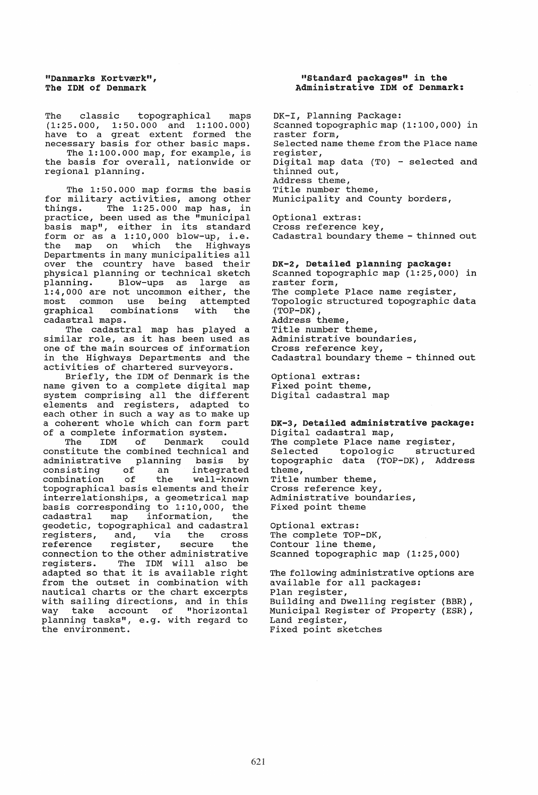The classic topographical maps (1:25.000, 1:50.000 and 1:100.000) have to a great extent formed the necessary basis for other basic maps. The 1:100.000 map, for example, is the basis for overall, nationwide or regional planning.

The 1:50.000 map forms the basis for military activities, among other things. The 1:25.000 map has, in practice, been used as the "municipal basis map", either in its standard form or as a 1:10,000 blow-up, i.e. the map on which the Highways Departments in many municipalities all over the country have based their physical planning or technical sketch<br>planning. Blow-ups as large as planning. Blow-ups as large as 1:4,000 are not uncommon either, the most common use being attempted<br>graphical combinations with the combinations cadastral maps.

The cadastral map has played a similar role, as it has been used as one of the main sources of information in the Highways Departments and the activities of chartered surveyors.

Briefly, the 1DM of Denmark is the name given to a complete digital map system comprising all the different elements and registers, adapted to each other in such a way as to make up a coherent whole which can form part of a complete information system.<br>The IDM of Denmark could

Denmark constitute the combined technical and administrative planning basis by consisting of an integrated consisting of an integrated<br>combination of the well-known topographical basis elements and their interrelationships, a geometrical map basis corresponding to 1:10,000, the<br>cadastral map information, the map information, geodetic, topographical and cadastral<br>registers, and, via the cross registers, and, via the<br>reference register, secure register, secure the connection to the other administrative<br>registers. The IDM will also be The IDM will also be adapted so that it is available right from the outset in combination with nautical charts or the chart excerpts with sailing directions, and in this<br>way take account of "horizontal take account of planning tasks", e.g. with regard to the environment.

#### "Standard packages" in the Administrative IDK of Denmark:

DK-1, Planning Package: Scanned topographic map (1: 100,000) in raster form, Selected name theme from the Place name register, Digital map data (T0) - selected and thinned out, Address theme, Title number theme, Municipality and County borders, optional extras:

Cross reference key, Cadastral boundary theme - thinned out

DK-2, Detailed planning package: Scanned topographic map (1:25,000) in raster form, The complete Place name register, Topologic structured topographic data (TOP-DK) , Address theme, Title number theme, Administrative boundaries, Cross reference key, Cadastral boundary theme - thinned out

Optional extras: Fixed point theme, Digital cadastral map

DK-3, Detailed administrative package: Digital cadastral map, The complete Place name register,<br>Selected topologic structured topologic topographic data (TOP-DK), Address theme, Title number theme, Cross reference key, Administrative boundaries, Fixed point theme

optional extras: The complete TOP-DK, Contour line theme, Scanned topographic map (1:25,000)

The following administrative options are available for all packages: Plan register, Building and Dwelling register (BBR), Municipal Register of Property (ESR) , Land register, Fixed point sketches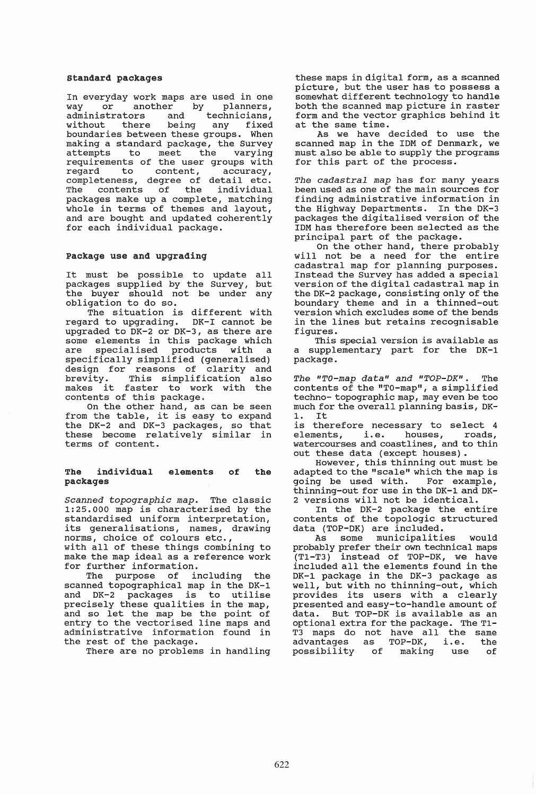#### standard packages

In everyday work maps are used in one<br>way or another by planners, planners, administrators and technicians,<br>without there being any fixed without there boundar ies between these groups. When making a standard package, the Survey<br>attempts to meet the varving the varying requirements of the user groups with<br>reqard to content, accuracy,  $content,$ completeness, degree of detail etc.<br>The contents of the individual contents of the packages make up a complete, matching whole in terms of themes and layout, and are bought and updated coherently for each individual package.

#### package use and upgrading

It must be possible to update all packages supplied by the Survey, but the buyer should not be under any obligation to do so.

The situation is different with regard to upgrading. DK-I cannot be upgraded to DK-2 or DK-3, as there are apyraded to bk b or bk b) do encre die are specialised products with a specifically simplified (generalised) design for reasons of clarity and brevity. This simplification also makes it faster to work with the mance it faster to were

On the other hand, as can be seen from the table, it is easy to expand the DK-2 and DK-3 packages, so that these become relatively similar in terms of content.

#### The individual packages elements of the

*Scanned topographic map.* The classic beanned *copographic map*: The crassic<br>1:25.000 map is characterised by the standardised uniform interpretation, its generalisations, names, drawing norms, choice of colours etc.,

with all of these things combining to make the map ideal as a reference work for further information.

The purpose of including the scanned topographical map in the DK-l and DK-2 packages is to utilise precisely these qualities in the map, precisely these qualities in the map, entry to the vectorised line maps and administrative information found in the rest of the package.

There are no problems in handling

these maps in digital form, as a scanned picture, but the user has to possess a somewhat different technology to handle both the scanned map picture in raster form and the vector graphics behind it at the same time.

As we have decided to use the scanned map in the IDM of Denmark, we must also be able to supply the programs for this part of the process.

*The cadastral map* has for many years been used as one of the main sources for finding administrative information in the Highway Departments. In the DK-3 packages the digitalised version of the IDM has therefore been selected as the principal part of the package.

On the other hand, there probably will not be a need for the entire cadastral map for planning purposes. Instead the Survey has added a special version of the digital cadastral map in the DK-2 package, consisting only of the boundary theme and in a thinned-out version which excludes some of the bends in the lines but retains recognisable figures.

This special version is available as a supplementary part for the DK-l package.

*The "TO-map data" and "TOP-DK".* The contents of the "TO-map", a simplified techno- topographic map, may even be too much for the overall planning basis, DK-1. It

is therefore necessary to select 4<br>elements, i.e. houses, roads, elements, i.e. houses, watercourses and coastlines, and to thin out these data (except houses) .

However, this thinning out must be adapted to the "scale" which the map is<br>going be used with. For example, going be used with. thinning-out for use in the DK-1 and DK-2 versions will not be identical.

In the DK-2 package the entire contents of the topologic structured data (TOP-DK) are included.

As some municipalities would probably prefer their own technical maps  $(T1-T3)$  instead of TOP-DK, we have included all the elements found in the DK-l package in the DK-3 package as well, but with no thinning-out, which provides its users with a clearly presented and easy-to-handle amount of presenced and easy to handre amount of<br>data. But TOP-DK is available as an optional extra for the package. The T1- T3 maps do not have all the same 15 maps do not have all the same<br>advantages as TOP-DK, i.e. the aavancages as for sn, free end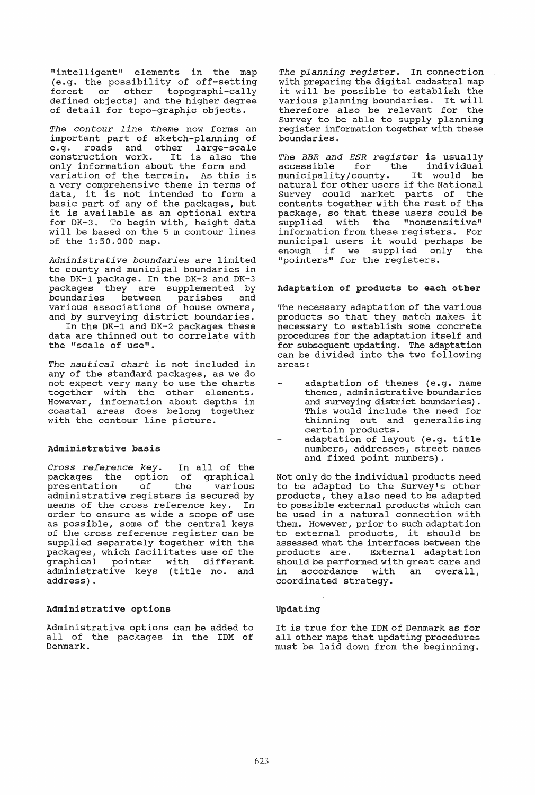"intelligent" elements in the map (e.g. the possibility of off-setting<br>forest or other topographi-cally topographi-cally defined objects) and the higher degree of detail for topo-graphic objects.

*The con tour 1 ine theme* now forms an important part of sketch-planning of e.g. roads and other large-scale construction work. It is also the only information about the form and variation of the terrain. As this is a very comprehensive theme in terms of data, it is not intended to form a basic part of any of the packages, but it is available as an optional extra for DK-3. To begin with, height data will be based on the 5 m contour lines of the 1:50.000 map.

*Administrative boundaries* are limited to county and municipal boundaries in the DK-1 package. In the DK-2 and DK-3 packages they are supplemented by parishes various associations of house owners, and by surveying district boundaries.

In the DK-1 and DK-2 packages these data are thinned out to correlate with the "scale of use".

*The nautical chart* is not included in any of the standard packages, as we do not expect very many to use the charts together with the other elements. However, information about depths in coastal areas does belong together with the contour line picture.

#### Administrative basis

*Cross reference key.* In all of the packages the option of<br>presentation of the presentation of the various administrative registers is secured by means of the cross reference key. In order to ensure as wide a scope of use as possible, some of the central keys of the cross reference register can be supplied separately together with the packages, which facilitates use of the graphical pointer with different administrative keys (title no. and address) .

# Administrative options

Administrative options can be added to all of the packages in the IDM of Denmark.

*The planning register.* In connection with preparing the digital cadastral map it will be possible to establish the various planning boundaries. It will therefore also be relevant for the Survey to be able to supply planning register information together with these boundaries.

*The BBR and ESR register* is usually individual municipality/county. It would be natural for other users if the National Survey could market parts of the contents together with the rest of the package, so that these users could be supplied with the "nonsensitive" information from these registers. For information from these registers. For<br>municipal users it would perhaps be municipal users it would perhaps be<br>enough if we supplied only the enough if we supplied only<br>"pointers" for the registers.

# Adaptation of products to each other

The necessary adaptation of the various products so that they match makes it necessary to establish some concrete procedures for the adaptation itself and for subsequent updating. The adaptation can be divided into the two following areas:

- adaptation of themes (e.g. name themes, administrative boundaries and surveying district boundaries). This would include the need for thinning out and generalising certain products.
- adaptation of layout (e.g. title numbers, addresses, street names and fixed point numbers).

Not only do the individual products need to be adapted to the Survey's other products, they also need to be adapted to possible external products which can be used in a natural connection with them. However, prior to such adaptation to external products, it should be assessed what the interfaces between the products are. External adaptation should be performed with great care and in accordance with an overall, coordinated strategy.

# Updating

It is true for the IDM of Denmark as for all other maps that updating procedures must be laid down from the beginning.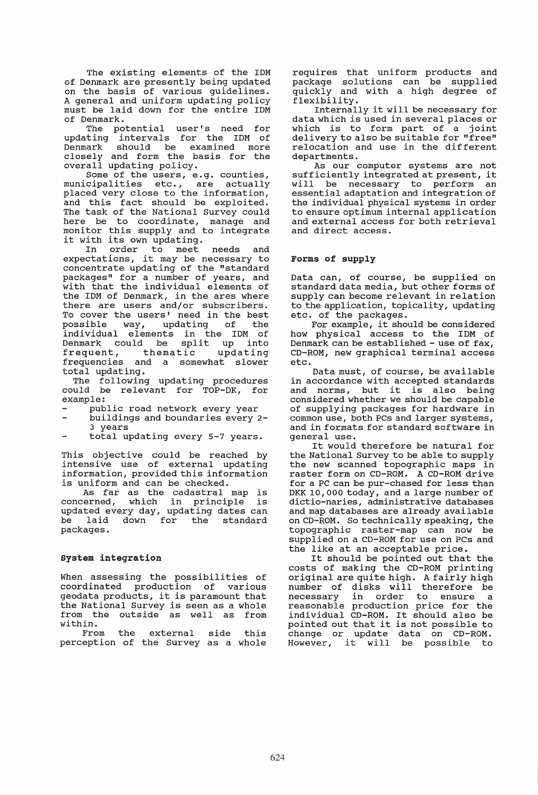The existing elements of the IDM of Denmark are presently being updated on the basis of various guidelines. A general and uniform updating policy must be laid down for the entire IDM of Denmark.

The potential user's need for updating intervals for the IDM of Denmark should be examined more closely and form the basis for the overall updating policy.

Some of the users, e.g. counties,<br>cipalities etc., are actually municipalities etc., are actually maniciparreles cost, are accurity and this fact should be exploited. The task of the National Survey could Ing cash of the habitunal sarvey course monitor this supply and to integrate it with its own updating.<br>In order to meet

In order to meet needs and expectations, it may be necessary to concentrate updating of the "standard packages" for a number of years, and with that the individual elements of the IDM of Denmark, in the ares where there are users and/or subscribers. To cover the users' need in the best possible way, updating of the individual elements in the IDM of Individual crements in the 1BH of Edmann Sourd BC Spile up inco frequent, thematic updating<br>frequencies and a somewhat slower total updating.

The following updating procedures could be relevant for TOP-OK, for example:

- public road network every year
- buildings and boundaries every 2- 3 years
- total updating every 5-7 years.

This objective could be reached by Intensive use of external updating information, provided this information is uniform and can be checked.

As far as the cadastral map is<br>concerned, which in principle is which in principle is updated every day, updating dates can aparted over any, aparting ances can<br>be laid down for the standard be laid<br>packages.

# system integration

When assessing the possibilities of coordinated production of various coordinated production of various<br>geodata products, it is paramount that the National Survey is seen as a whole from the outside as well as from within.

From the external side this perception of the Survey as a whole requires that uniform products and package solutions can be supplied quickly and with a high degree of flexibility.

Internally it will be necessary for data which is used in several places or which is to form part of a joint delivery to also be suitable for "free" relocation and use in the different departments.

As our computer systems are not sufficiently integrated at present, it will be necessary to perform an essential adaptation and integration of the individual physical systems in order to ensure optimum internal application and external access for both retrieval and direct access.

# Forms of supply

Data can, of course, be supplied on standard data media, but other forms of supply can become relevant in relation to the application, topicality, updating etc. of the packages.

For example, it should be considered how physical access to the IDM of Denmark can be established - use of fax, CD-ROM, new graphical terminal access etc.

Data must, of course, be available in accordance with accepted standards and norms, but it is also being considered whether we should be capable of supplying packages for hardware in common use, both PCs and larger systems, and in formats for standard software in general use.

It would therefore be natural for the National Survey to be able to supply the new scanned topographic maps in raster form on CD-ROM. A CD-ROM drive for a PC can be pur-chased for less than DKK 10,000 today, and a large number of dictio-naries, administrative databases and map databases are already available on CD-ROM. So technically speaking, the topographic raster-map can now be supplied on a CD-ROM for use on PCs and the like at an acceptable price.

It should be pointed out that the costs of making the CD-ROM printing original are quite high. A fairly high number of disks will therefore be necessary in order to ensure a reasonable production price for the individual CD-ROM. It should also be pointed out that it is not possible to change or update data on CD-ROM. However, it will be possible to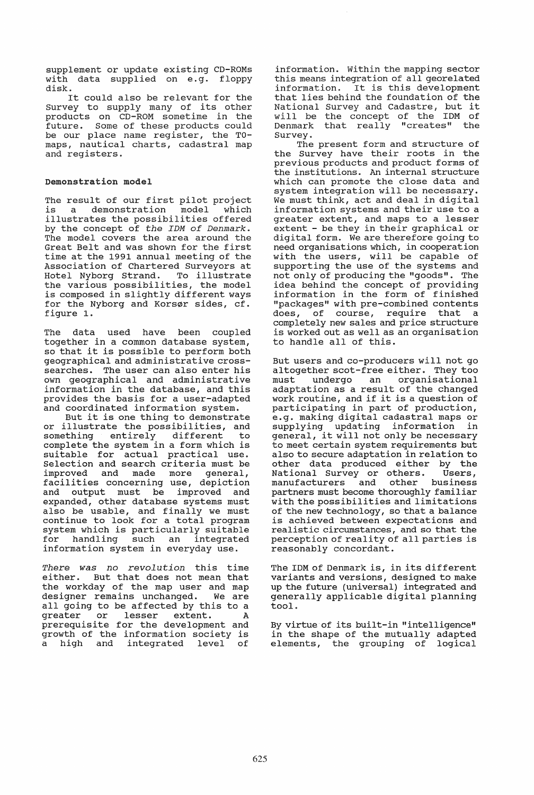supplement or update existing CD-ROMs with data supplied on e.g. floppy disk.

It could also be relevant for the Survey to supply many of its other products on CD-ROM sometime in the future. Some of these products could be our place name register, the TOmaps, nautical charts, cadastral map and registers.

#### Demonstration model

The result of our first pilot project<br>is a demonstration model which a demonstration model illustrates the possibilities offered by the concept of *the IDM of Denmark.*  The model covers the area around the Great Belt and was shown for the first time at the 1991 annual meeting of the Association of Chartered Surveyors at Hotel Nyborg Strand. To illustrate the various possibilities, the model is composed in slightly different ways for the Nyborg and Korsør sides, cf. figure 1.

The data used have been coupled together in a common database system, so that it is possible to perform both geographical and administrative crosssearches. The user can also enter his own geographical and administrative information in the database, and this provides the basis for a user-adapted and coordinated information system.

But it is one thing to demonstrate or illustrate the possibilities, and<br>something entirely different to something entirely different complete the system in a form which is suitable for actual practical use. Selection and search criteria must be improved and made more general, facilities concerning use, depiction<br>and output must be improved and output must expanded, other database systems must also be usable, and finally we must continue to look for a total program system which is particularly suitable for handling such an integrated information system in everyday use.

*There was no revolution* this time either. But that does not mean that the workday of the map user and map<br>designer remains unchanged. We are designer remains unchanged. all going to be affected by this to a and young occurred to the points of a<br>greater or lesser extent. A greater or lesser extent. A<br>prerequisite for the development and growth of the information society is<br>a high and integrated level of a high and integrated level of

information. Within the mapping sector this means integration of all georelated information. It is this development that lies behind the foundation of the National Survey and Cadastre, but it  $will be the concept of the  $IMM$  of$ Denmark that really "creates" the Survey.

The present form and structure of the Survey have their roots in the previous products and product forms of the institutions. An internal structure which can promote the close data and system integration will be necessary. We must think, act and deal in digital information systems and their use to a greater extent, and maps to a lesser extent - be they in their graphical or digital form. We are therefore going to need organisations which, in cooperation with the users, will be capable of supporting the use of the systems and not only of producing the "goods". The idea behind the concept of providing information in the form of finished "packages" with pre-combined contents<br>does, of course, require that a of course, require that a completely new sales and price structure is worked out as well as an organisation to handle all of this.

But users and co-producers will not go altogether scot-free either. They too must undergo an organisational adaptation as a result of the changed work routine, and if it is a question of participating in part of production, e.g. making digital cadastral maps or supplying updating information in general, it will not only be necessary to meet certain system requirements but also to secure adaptation in relation to other data produced either by the<br>National Survey or others. Users, National Survey or others. Users,<br>manufacturers and other business manufacturers and partners must become thoroughly familiar with the possibilities and limitations of the new technology, so that a balance is achieved between expectations and realistic circumstances, and so that the perception of reality of all parties is reasonably concordant.

The IDM of Denmark is, in its different variants and versions, designed to make up the future (universal) integrated and generally applicable digital planning tool.

By virtue of its built-in "intelligence" in the shape of the mutually adapted elements, the grouping of logical